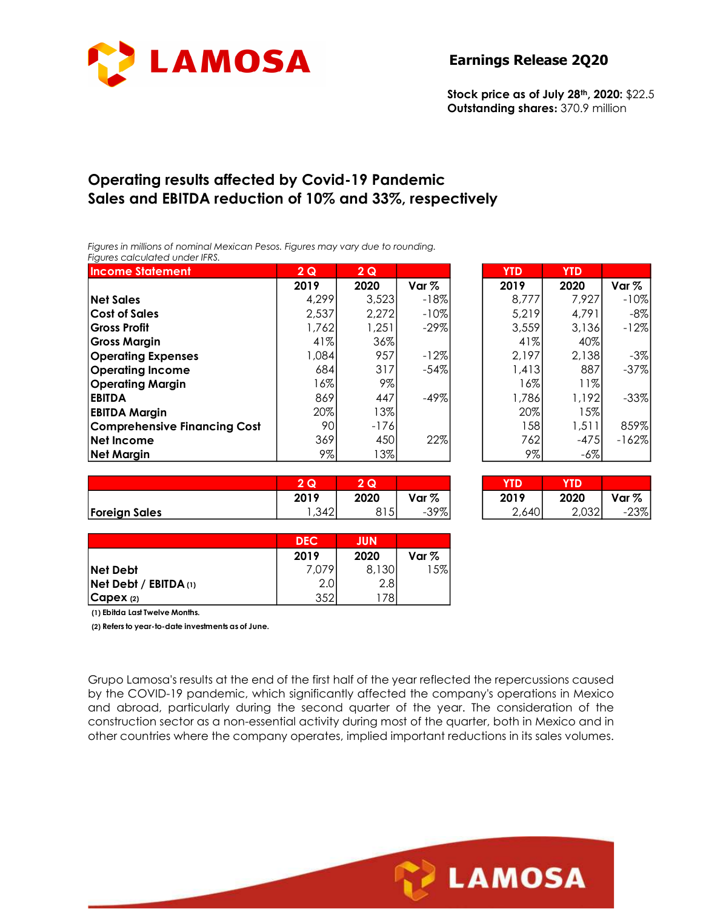

# Operating results affected by Covid-19 Pandemic Sales and EBITDA reduction of 10% and 33%, respectively

|                                                                                                                   | LAMOSA     |                 |        | <b>Earnings Release 2Q20</b>                                                   |            |                  |
|-------------------------------------------------------------------------------------------------------------------|------------|-----------------|--------|--------------------------------------------------------------------------------|------------|------------------|
|                                                                                                                   |            |                 |        | Stock price as of July 28th, 2020: \$22.5<br>Outstanding shares: 370.9 million |            |                  |
| <b>Operating results affected by Covid-19 Pandemic</b><br>Sales and EBITDA reduction of 10% and 33%, respectively |            |                 |        |                                                                                |            |                  |
| Figures in millions of nominal Mexican Pesos. Figures may vary due to rounding.<br>Figures calculated under IFRS. |            |                 |        |                                                                                |            |                  |
| <b>Income Statement</b>                                                                                           | 2Q         | 2Q              |        | <b>YTD</b>                                                                     | <b>YTD</b> |                  |
|                                                                                                                   | 2019       | 2020            | Var %  | 2019                                                                           | 2020       | Var <sub>%</sub> |
| <b>Net Sales</b>                                                                                                  | 4,299      | 3,523           | $-18%$ | 8,777                                                                          | 7,927      | $-10%$           |
| <b>Cost of Sales</b>                                                                                              | 2,537      | 2,272           | $-10%$ | 5,219                                                                          | 4,791      | $-8%$            |
| <b>Gross Profit</b>                                                                                               | 1,762      | 1,251           | $-29%$ | 3,559                                                                          | 3,136      | $-12%$           |
| <b>Gross Margin</b>                                                                                               | 41%        | 36%             |        | 41%                                                                            | 40%        |                  |
| <b>Operating Expenses</b>                                                                                         | 1,084      | 957             | $-12%$ | 2,197                                                                          | 2,138      | $-3%$            |
|                                                                                                                   | 684        | 317             | $-54%$ | 1,413                                                                          | 887        | $-37%$           |
| <b>Operating Income</b>                                                                                           |            | 9%              |        | 16%                                                                            | 11%        |                  |
| <b>Operating Margin</b>                                                                                           | 16%        |                 |        |                                                                                |            | $-33%$           |
| <b>EBITDA</b>                                                                                                     | 869        | 447             | $-49%$ | 1,786                                                                          | 1,192      |                  |
| <b>EBITDA Margin</b>                                                                                              | 20%        | 13%             |        | 20%                                                                            | 15%        |                  |
| <b>Comprehensive Financing Cost</b>                                                                               | 90         | $-176$          |        | 158                                                                            | 1,511      | 859%             |
| Net Income                                                                                                        | 369        | 450             | 22%    | 762                                                                            | $-475$     | $-162%$          |
| <b>Net Margin</b>                                                                                                 | 9%         | 13%             |        | 9%                                                                             | $-6\%$     |                  |
|                                                                                                                   |            |                 |        |                                                                                |            |                  |
|                                                                                                                   | 2Q         | $\overline{2Q}$ |        | 1 I D                                                                          | <b>YTD</b> |                  |
|                                                                                                                   | 2019       | 2020            | Var %  | 2019                                                                           | 2020       | Var %            |
| <b>Foreign Sales</b>                                                                                              | 1,342      | 815             | $-39%$ | 2,640                                                                          | 2,032      | $-23%$           |
|                                                                                                                   | <b>DEC</b> | <b>JUN</b>      |        |                                                                                |            |                  |
|                                                                                                                   | 2019       | 2020            | Var %  |                                                                                |            |                  |
| Net Debt                                                                                                          | 7,079      |                 | 15%    |                                                                                |            |                  |
| Net Debt / EBITDA (1)                                                                                             | 2.0        | 8,130<br>2.8    |        |                                                                                |            |                  |

|                      |                                                          |                    | <b>Earnings Release 2Q20</b>                                                   |                    |                    |
|----------------------|----------------------------------------------------------|--------------------|--------------------------------------------------------------------------------|--------------------|--------------------|
|                      |                                                          |                    | Stock price as of July 28th, 2020: \$22.5<br>Outstanding shares: 370.9 million |                    |                    |
|                      |                                                          |                    |                                                                                |                    |                    |
|                      | Covid-19 Pandemic<br>of $10\%$ and $33\%$ , respectively |                    |                                                                                |                    |                    |
|                      |                                                          |                    |                                                                                |                    |                    |
|                      | gures may vary due to rounding.                          |                    |                                                                                |                    |                    |
| 2Q<br>2019           | 2Q<br>2020                                               | Var %              | <b>YTD</b><br>2019                                                             | <b>YTD</b><br>2020 | Var %              |
| 4,299                | 3,523                                                    | $-18%$             | 8,777                                                                          | 7,927              | $-10%$             |
| 2,537                | 2,272                                                    | $-10%$             | 5,219                                                                          | 4,791              | $-8%$              |
| 1,762                | 1,251                                                    | $-29%$             | 3,559                                                                          | 3,136              | $-12%$             |
| 41%                  | 36%                                                      |                    | 41%                                                                            | 40%                |                    |
| 1,084                | 957                                                      | $-12%$             | 2,197                                                                          | 2,138              | $-3%$              |
| 684                  | 317                                                      | $-54%$             | 1,413                                                                          | 887                | $-37%$             |
| 16%                  | 9%                                                       |                    | 16%                                                                            | 11%                |                    |
| 869                  | 447                                                      | $-49%$             | 1,786                                                                          | 1,192              | $-33%$             |
| 20%                  | 13%                                                      |                    | 20%                                                                            | 15%                |                    |
| 90                   | $-176$                                                   |                    | 158                                                                            | 1,511              | 859%               |
| 369                  | 450                                                      | 22%                | 762                                                                            | $-475$             | $-162%$            |
| 9%                   | 13%                                                      |                    | 9%                                                                             | $-6\%$             |                    |
|                      |                                                          |                    |                                                                                |                    |                    |
| 2Q                   | 2Q                                                       |                    | <b>YTD</b>                                                                     | <b>YTD</b>         |                    |
| 2019<br>1,342        | 2020<br>815                                              | Var $\%$<br>$-39%$ | 2019<br>2,640                                                                  | 2020<br>2,032      | Var $\%$<br>$-23%$ |
|                      |                                                          |                    |                                                                                |                    |                    |
| <b>DEC</b>           | <b>JUN</b>                                               |                    |                                                                                |                    |                    |
|                      | 2020                                                     | Var %              |                                                                                |                    |                    |
|                      |                                                          |                    |                                                                                |                    |                    |
|                      |                                                          |                    |                                                                                |                    |                    |
| 2019<br>7,079<br>2.0 | 8,130<br>2.8                                             | 15%                |                                                                                |                    |                    |

|                      | Q      | IG.  |                  |
|----------------------|--------|------|------------------|
|                      | 2019   | 2020 | Var <sub>%</sub> |
| <b>Foreign Sales</b> | $\sim$ | ں ا  | ാറത              |

| נווי  |        |       |
|-------|--------|-------|
| 2019  | 2020   | Var % |
| 2,640 | 2,0321 | -23%  |

|                           | <b>DEC</b> | <b>JUN</b>      |       |
|---------------------------|------------|-----------------|-------|
|                           | 2019       | 2020            | Var % |
| Net Debt                  | 7.079      | 8,130           | 15%   |
| $Net$ Debt / EBITDA $(1)$ | 2.0        | 2.81            |       |
| CapeX (2)                 | 352        | 78 <sub>1</sub> |       |

Grupo Lamosa's results at the end of the first half of the year reflected the repercussions caused by the COVID-19 pandemic, which significantly affected the company's operations in Mexico and abroad, particularly during the second quarter of the year. The consideration of the construction sector as a non-essential activity during most of the quarter, both in Mexico and in other countries where the company operates, implied important reductions in its sales volumes.

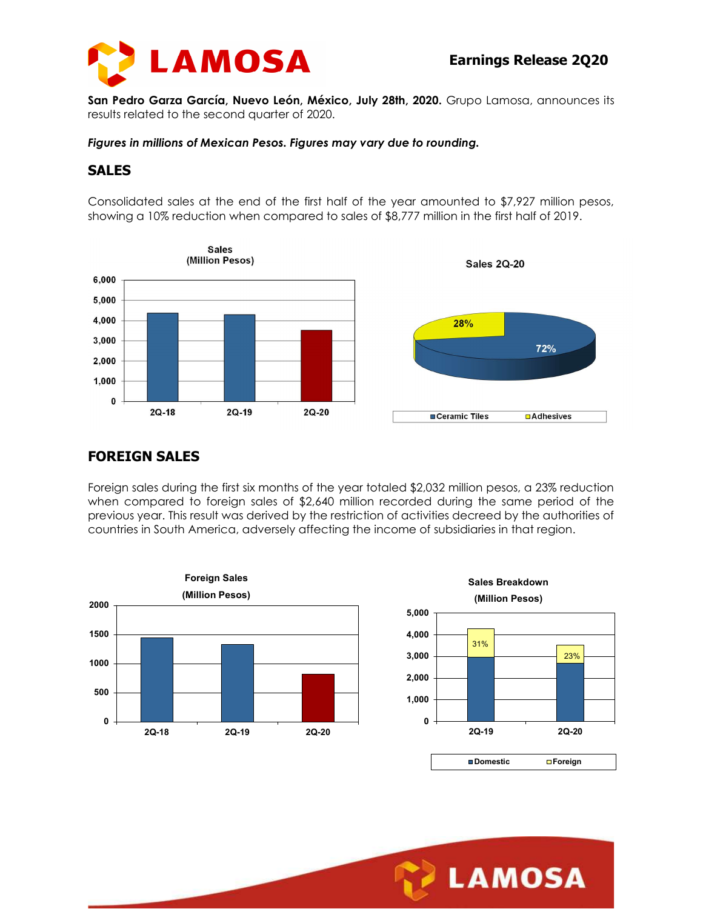



San Pedro Garza García, Nuevo León, México, July 28th, 2020. Grupo Lamosa, announces its results related to the second quarter of 2020.

Figures in millions of Mexican Pesos. Figures may vary due to rounding.

#### SALES

Consolidated sales at the end of the first half of the year amounted to \$7,927 million pesos, showing a 10% reduction when compared to sales of \$8,777 million in the first half of 2019.



## FOREIGN SALES

Foreign sales during the first six months of the year totaled \$2,032 million pesos, a 23% reduction when compared to foreign sales of \$2,640 million recorded during the same period of the previous year. This result was derived by the restriction of activities decreed by the authorities of countries in South America, adversely affecting the income of subsidiaries in that region.





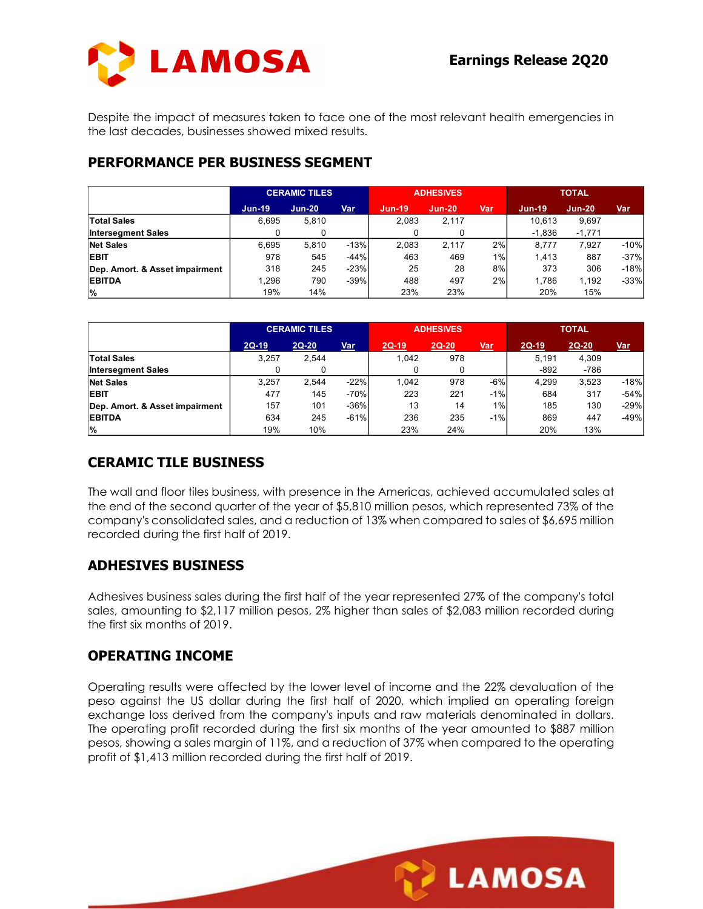

## PERFORMANCE PER BUSINESS SEGMENT

| Despite the impact of measures taken to face one of the most relevant health emergencies in<br>the last decades, businesses showed mixed results.<br>PERFORMANCE PER BUSINESS SEGMENT |                  |                      |                  |                  |                  |             |                    |                   |                  |
|---------------------------------------------------------------------------------------------------------------------------------------------------------------------------------------|------------------|----------------------|------------------|------------------|------------------|-------------|--------------------|-------------------|------------------|
|                                                                                                                                                                                       |                  |                      |                  |                  |                  |             |                    |                   |                  |
|                                                                                                                                                                                       |                  |                      |                  |                  |                  |             |                    |                   |                  |
|                                                                                                                                                                                       |                  | <b>CERAMIC TILES</b> |                  |                  | <b>ADHESIVES</b> |             |                    | <b>TOTAL</b>      |                  |
|                                                                                                                                                                                       | <u>Jun-19</u>    | <b>Jun-20</b>        | Var              | <b>Jun-19</b>    | <b>Jun-20</b>    | Var         | Jun-19             | <b>Jun-20</b>     | <b>Var</b>       |
| <b>Total Sales</b><br><b>Intersegment Sales</b>                                                                                                                                       | 6,695<br>0       | 5,810<br>0           |                  | 2,083<br>0       | 2,117<br>0       |             | 10,613<br>$-1,836$ | 9,697<br>$-1,771$ |                  |
| <b>Net Sales</b>                                                                                                                                                                      | 6,695            | 5,810                | $-13%$           | 2,083            | 2,117            | 2%          | 8,777              | 7,927             | $-10%$           |
| <b>EBIT</b>                                                                                                                                                                           | 978              | 545                  | $-44%$           | 463              | 469              | 1%          | 1,413              | 887               | $-37%$           |
| Dep. Amort. & Asset impairment                                                                                                                                                        | 318              | 245                  | $-23%$           | 25               | 28               | 8%          | 373                | 306               | $-18%$           |
| <b>EBITDA</b>                                                                                                                                                                         | 1,296            | 790                  | $-39%$           | 488              | 497              | 2%          | 1,786              | 1,192             | $-33%$           |
| %                                                                                                                                                                                     | 19%              | 14%                  |                  | 23%              | 23%              |             | 20%                | 15%               |                  |
|                                                                                                                                                                                       |                  | <b>CERAMIC TILES</b> |                  |                  | <b>ADHESIVES</b> |             | <b>TOTAL</b>       |                   |                  |
|                                                                                                                                                                                       |                  |                      |                  |                  | $2Q-20$          |             |                    | $2Q-20$           |                  |
| <b>Total Sales</b>                                                                                                                                                                    | $2Q-19$<br>3,257 | $2Q-20$<br>2,544     | <b>Var</b>       | $2Q-19$<br>1,042 | 978              | <u>Var</u>  | $2Q-19$<br>5,191   | 4,309             | <u>Var</u>       |
|                                                                                                                                                                                       |                  | $\mathbf 0$          |                  | 0                | $\mathbf 0$      |             | $-892$             | $-786$            |                  |
|                                                                                                                                                                                       |                  |                      | $-22%$           | 1,042            | 978              | $-6%$       | 4,299              | 3,523             | $-18%$           |
| <b>Intersegment Sales</b>                                                                                                                                                             | 0                |                      |                  |                  |                  |             |                    |                   |                  |
| <b>Net Sales</b>                                                                                                                                                                      | 3,257            | 2,544                |                  |                  |                  |             |                    |                   |                  |
| <b>EBIT</b>                                                                                                                                                                           | 477              | 145                  | $-70%$           | 223              | 221              | $-1%$       | 684                | 317               | $-54%$           |
| Dep. Amort. & Asset impairment<br><b>EBITDA</b>                                                                                                                                       | 157<br>634       | 101<br>245           | $-36%$<br>$-61%$ | 13<br>236        | 14<br>235        | 1%<br>$-1%$ | 185<br>869         | 130<br>447        | $-29%$<br>$-49%$ |

|                                | <b>CERAMIC TILES</b> |         |        |         | <b>ADHESIVES</b> |            | <b>TOTAL</b> |       |            |
|--------------------------------|----------------------|---------|--------|---------|------------------|------------|--------------|-------|------------|
|                                | $2Q-19$              | $2Q-20$ | Var    | $2Q-19$ | $2Q-20$          | <u>Var</u> | $2Q-19$      | 2Q-20 | <b>Var</b> |
| <b>Total Sales</b>             | 3,257                | 2,544   |        | .042    | 978              |            | 5,191        | 4,309 |            |
| <b>Intersegment Sales</b>      |                      |         |        |         |                  |            | $-892$       | -786  |            |
| <b>Net Sales</b>               | 3,257                | 2.544   | $-22%$ | .042    | 978              | $-6%$      | 4,299        | 3,523 | $-18%$     |
| <b>EBIT</b>                    | 477                  | 145     | $-70%$ | 223     | 221              | $-1%$      | 684          | 317   | $-54%$     |
| Dep. Amort. & Asset impairment | 157                  | 101     | $-36%$ | 13      | 14               | $1\%$      | 185          | 130   | $-29%$     |
| <b>EBITDA</b>                  | 634                  | 245     | $-61%$ | 236     | 235              | $-1%$      | 869          | 447   | $-49%$     |
| %                              | 19%                  | 10%     |        | 23%     | 24%              |            | 20%          | 13%   |            |

## CERAMIC TILE BUSINESS

The wall and floor tiles business, with presence in the Americas, achieved accumulated sales at the end of the second quarter of the year of \$5,810 million pesos, which represented 73% of the company's consolidated sales, and a reduction of 13% when compared to sales of \$6,695 million recorded during the first half of 2019.

#### ADHESIVES BUSINESS

Adhesives business sales during the first half of the year represented 27% of the company's total sales, amounting to \$2,117 million pesos, 2% higher than sales of \$2,083 million recorded during the first six months of 2019.

#### OPERATING INCOME

Operating results were affected by the lower level of income and the 22% devaluation of the peso against the US dollar during the first half of 2020, which implied an operating foreign exchange loss derived from the company's inputs and raw materials denominated in dollars. The operating profit recorded during the first six months of the year amounted to \$887 million pesos, showing a sales margin of 11%, and a reduction of 37% when compared to the operating profit of \$1,413 million recorded during the first half of 2019.

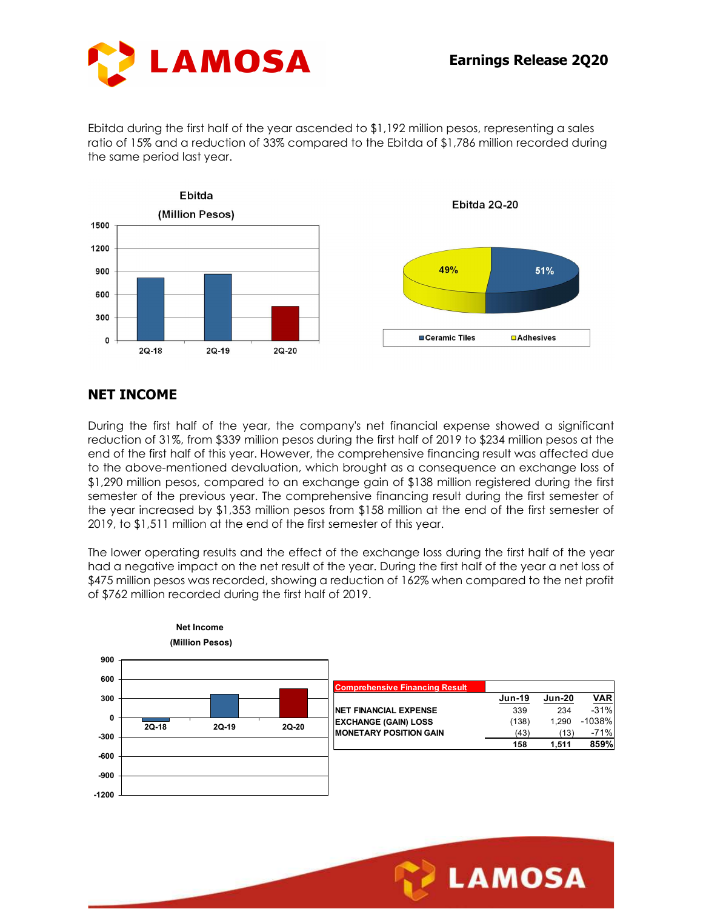

Ebitda during the first half of the year ascended to \$1,192 million pesos, representing a sales ratio of 15% and a reduction of 33% compared to the Ebitda of \$1,786 million recorded during the same period last year.



#### NET INCOME

During the first half of the year, the company's net financial expense showed a significant reduction of 31%, from \$339 million pesos during the first half of 2019 to \$234 million pesos at the end of the first half of this year. However, the comprehensive financing result was affected due to the above-mentioned devaluation, which brought as a consequence an exchange loss of \$1,290 million pesos, compared to an exchange gain of \$138 million registered during the first semester of the previous year. The comprehensive financing result during the first semester of the year increased by \$1,353 million pesos from \$158 million at the end of the first semester of 2019, to \$1,511 million at the end of the first semester of this year. 20-19<br>
20-20<br>
E<br>
half of the year, the company's net financial expense showed a sign<br>
7%, from \$339 million pesos during the first half of 2019 to \$234 million pesos<br>
half of this year. However, the comprehensive financin

The lower operating results and the effect of the exchange loss during the first half of the year had a negative impact on the net result of the year. During the first half of the year a net loss of \$475 million pesos was recorded, showing a reduction of 162% when compared to the net profit of \$762 million recorded during the first half of 2019.



**LAMOSA**